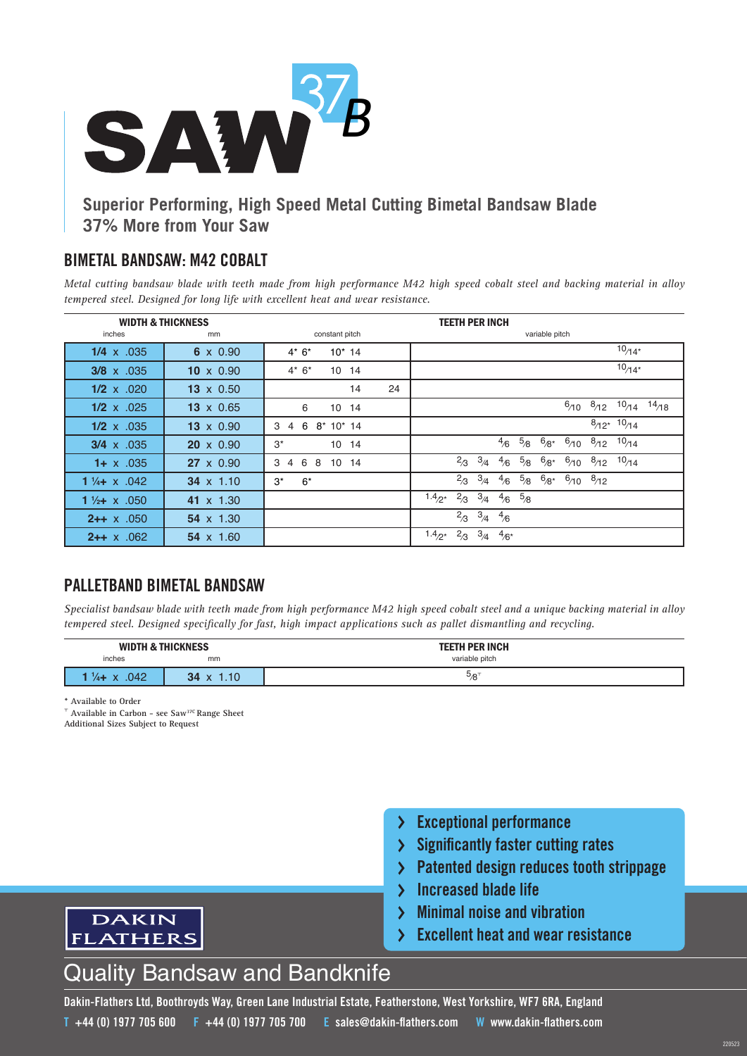

## **Superior Performing, High Speed Metal Cutting Bimetal Bandsaw Blade 37% More from Your Saw**

#### **BIMETAL BANDSAW: M42 COBALT**

*Metal cutting bandsaw blade with teeth made from high performance M42 high speed cobalt steel and backing material in alloy tempered steel. Designed for long life with excellent heat and wear resistance.*

| <b>WIDTH &amp; THICKNESS</b> |                  | <b>TEETH PER INCH</b>                                  |                                                                                                     |  |  |  |  |
|------------------------------|------------------|--------------------------------------------------------|-----------------------------------------------------------------------------------------------------|--|--|--|--|
| inches                       | mm               | constant pitch                                         | variable pitch                                                                                      |  |  |  |  |
| $1/4 \times .035$            | $6 \times 0.90$  | $4*6*$<br>$10^*$ 14                                    | $10/14*$                                                                                            |  |  |  |  |
| $3/8 \times .035$            | $10 \times 0.90$ | $4*6*$<br>10 14                                        | $10/14*$                                                                                            |  |  |  |  |
| $1/2 \times .020$            | $13 \times 0.50$ | 24<br>14                                               |                                                                                                     |  |  |  |  |
| $1/2 \times 0.025$           | $13 \times 0.65$ | 6<br>10 14                                             | $6/10$ $8/12$ $10/14$ $14/18$                                                                       |  |  |  |  |
| $1/2 \times .035$            | $13 \times 0.90$ | 6<br>$8*10*14$<br>3<br>$\overline{4}$                  | $8/12^{*}$ 10/14                                                                                    |  |  |  |  |
| $3/4 \times .035$            | $20 \times 0.90$ | $3^*$<br>10 <sup>°</sup><br>14                         | $5_{/8}$<br>$6/8^*$ $6/10$<br>$\frac{8}{12}$ $\frac{10}{14}$<br>4/6                                 |  |  |  |  |
| $1 + x$ .035                 | $27 \times 0.90$ | 6<br>10 <sup>°</sup><br>3<br>8<br>$\overline{4}$<br>14 | $5\mathstrut /8$<br>3/4<br>$^{2}$ /3<br>$6_{/8^*}$<br>$10_{/14}$<br>$^{8}$ /12<br>$^{6}$ /10<br>4/6 |  |  |  |  |
| 1 $\frac{1}{4}$ + x .042     | $34 \times 1.10$ | $6*$<br>$3^*$                                          | 3/4<br>$5_{/8}$<br>$6_{/8^*}$<br>$^{2}$ <sub>3</sub><br>$6/10$ $8/12$<br>4/6                        |  |  |  |  |
| 1 $\frac{1}{2}$ + x .050     | 41 $\times$ 1.30 |                                                        | 5/8<br>$^{2}/3$<br>3/4<br>$1.4_{2*}$<br>4/6                                                         |  |  |  |  |
| $2++ \times .050$            | $54 \times 1.30$ |                                                        | 3/4<br>$^{2}$ <sub>3</sub><br>4/6                                                                   |  |  |  |  |
| $2++ \times .062$            | 54 $\times$ 1.60 |                                                        | 3/4<br>$^{2}$ <sub>3</sub><br>$1.4_{2*}$<br>$4/6*$                                                  |  |  |  |  |

### **PALLETBAND BIMETAL BANDSAW**

*Specialist bandsaw blade with teeth made from high performance M42 high speed cobalt steel and a unique backing material in alloy tempered steel. Designed specifically for fast, high impact applications such as pallet dismantling and recycling.*

| <b>WIDTH &amp; THICKNESS</b> |                            | <b>TEETH PER INCH</b> |  |
|------------------------------|----------------------------|-----------------------|--|
| inches                       | mm                         | variable pitch        |  |
| .042<br>$\frac{1}{4}$ X      | 1.10<br>34<br>$\mathbf{v}$ | ి⁄8                   |  |

**\* Available to Order**

⸆ **Available in Carbon - see Saw37C Range Sheet**

**Additional Sizes Subject to Request**

**DAKIN FLATHERS** 



- **Significantly faster cutting rates**
- **Patented design reduces tooth strippage**  $\sum$
- **Increased blade life**  $\sum$
- **Minimal noise and vibration**  $\sum$
- **Excellent heat and wear resistance**

# Quality Bandsaw and Bandknife

**Dakin-Flathers Ltd, Boothroyds Way, Green Lane Industrial Estate, Featherstone, West Yorkshire, WF7 6RA, England T +44 (0) 1977 705 600 F +44 (0) 1977 705 700 E sales@dakin-flathers.com W www.dakin-flathers.com**